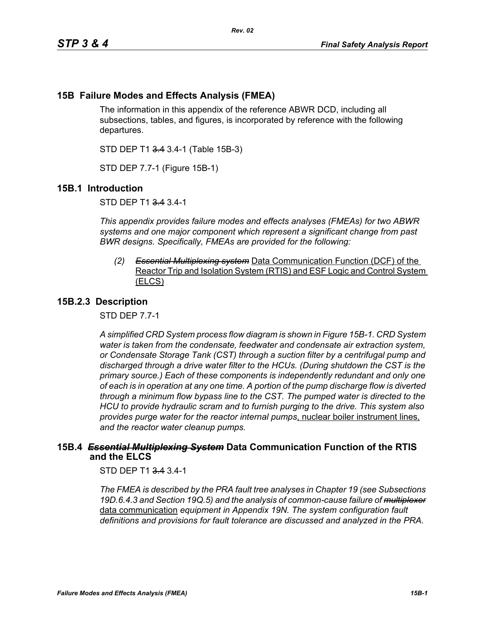# **15B Failure Modes and Effects Analysis (FMEA)**

The information in this appendix of the reference ABWR DCD, including all subsections, tables, and figures, is incorporated by reference with the following departures.

STD DEP T1 3.4 3.4-1 (Table 15B-3)

STD DEP 7.7-1 (Figure 15B-1)

## **15B.1 Introduction**

STD DEP T1 3.4 3.4-1

*This appendix provides failure modes and effects analyses (FMEAs) for two ABWR systems and one major component which represent a significant change from past BWR designs. Specifically, FMEAs are provided for the following:*

*(2) Essential Multiplexing system* Data Communication Function (DCF) of the Reactor Trip and Isolation System (RTIS) and ESF Logic and Control System (ELCS)

## **15B.2.3 Description**

STD DEP 7.7-1

*A simplified CRD System process flow diagram is shown in Figure [15B-1.](#page-2-0) CRD System water is taken from the condensate, feedwater and condensate air extraction system, or Condensate Storage Tank (CST) through a suction filter by a centrifugal pump and discharged through a drive water filter to the HCUs. (During shutdown the CST is the primary source.) Each of these components is independently redundant and only one of each is in operation at any one time. A portion of the pump discharge flow is diverted through a minimum flow bypass line to the CST. The pumped water is directed to the HCU to provide hydraulic scram and to furnish purging to the drive. This system also provides purge water for the reactor internal pumps*, nuclear boiler instrument lines, *and the reactor water cleanup pumps.*

## **15B.4** *Essential Multiplexing System* **Data Communication Function of the RTIS and the ELCS**

STD DEP T1 3.4 3.4-1

*The FMEA is described by the PRA fault tree analyses in Chapter 19 (see Subsections 19D.6.4.3 and Section 19Q.5) and the analysis of common-cause failure of multiplexer* data communication *equipment in Appendix 19N. The system configuration fault definitions and provisions for fault tolerance are discussed and analyzed in the PRA.*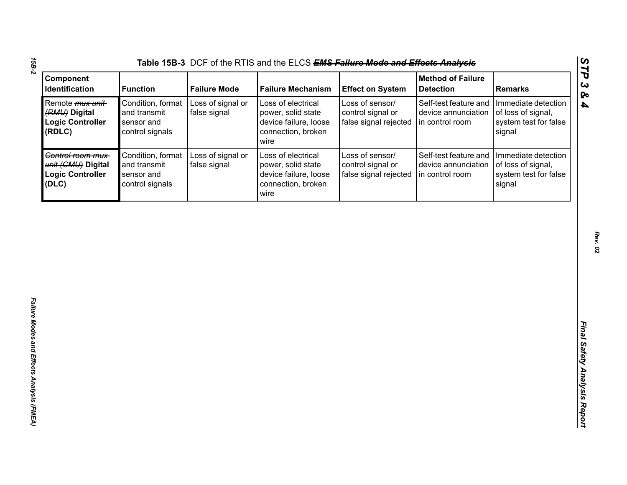| Condition, format<br>Loss of signal or<br>Loss of electrical<br>Loss of sensor/<br>Self-test feature and<br>Immediate detection<br>Remote <i>mux unit</i> -<br>false signal<br>control signal or<br>(RMU) Digital<br>and transmit<br>power, solid state<br>device annunciation<br>of loss of signal,<br><b>Logic Controller</b><br>device failure, loose<br>sensor and<br>false signal rejected<br>in control room<br>system test for false<br>(RDLC)<br>control signals<br>connection, broken<br>signal<br>wire<br>Control room mux-<br>Condition, format<br>Loss of electrical<br>Loss of sensor/<br>Self-test feature and<br>Immediate detection |
|-----------------------------------------------------------------------------------------------------------------------------------------------------------------------------------------------------------------------------------------------------------------------------------------------------------------------------------------------------------------------------------------------------------------------------------------------------------------------------------------------------------------------------------------------------------------------------------------------------------------------------------------------------|
|                                                                                                                                                                                                                                                                                                                                                                                                                                                                                                                                                                                                                                                     |
| Loss of signal or<br>and transmit<br>false signal<br>control signal or<br>unit (CMU) Digital<br>power, solid state<br>device annunciation<br>of loss of signal,<br>device failure, loose<br>false signal rejected<br><b>Logic Controller</b><br>sensor and<br>in control room<br>system test for false<br>(DLC)<br>control signals<br>connection, broken<br>signal<br>wire                                                                                                                                                                                                                                                                          |

*15B-2*